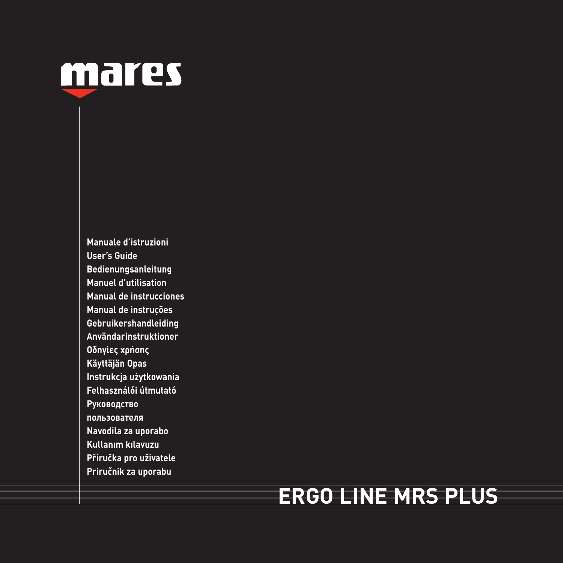

**Manuale d'istruzioni User's Guide Bedienungsanleitung Manuel d'utilisation Manual de instrucciones Manual de instruções Gebruikershandleiding Användarinstruktioner Οδηγίες χρήσης Käyttäjän Opas Instrukcja użytkowania Felhasználói útmutató Руководство пользователя Navodila za uporabo Kullanım kılavuzu Příručka pro uživatele Priručnik za uporabu**

# **ERGO LINE MRS PLUS**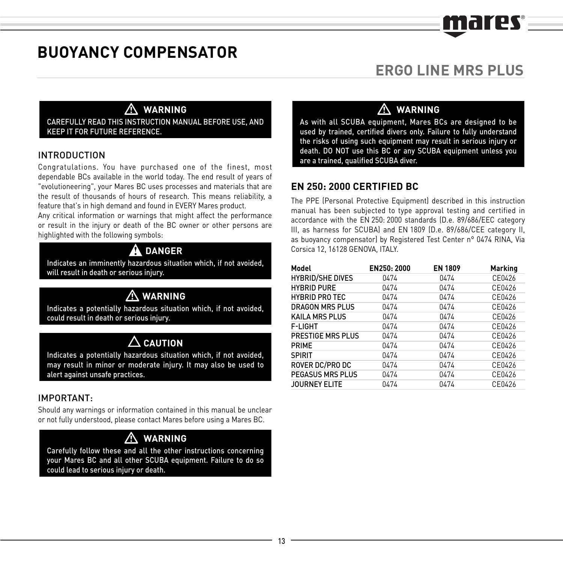# FINIT

# **BUOYANCY COMPENSATOR**

# **ERGO LINE MRS PLUS**

## - **WARNING**

CAREFULLY READ THIS INSTRUCTION MANUAL BEFORE USE, AND KEEP IT FOR FUTURE REFERENCE.

#### INTRODUCTION

Congratulations. You have purchased one of the finest, most dependable BCs available in the world today. The end result of years of "evolutioneering", your Mares BC uses processes and materials that are the result of thousands of hours of research. This means reliability, a feature that's in high demand and found in EVERY Mares product.

Any critical information or warnings that might affect the performance or result in the injury or death of the BC owner or other persons are highlighted with the following symbols:

#### $\blacktriangle$ **DANGER**

Indicates an imminently hazardous situation which, if not avoided, will result in death or serious injury.

# -**WARNING**

Indicates a potentially hazardous situation which, if not avoided, could result in death or serious injury.

#### **CAUTION**

Indicates a potentially hazardous situation which, if not avoided, may result in minor or moderate injury. It may also be used to alert against unsafe practices.

#### IMPORTANT:

Should any warnings or information contained in this manual be unclear or not fully understood, please contact Mares before using a Mares BC.

#### **WARNING**

 $\triangle$  WARNING<br>Carefully follow these and all the other instructions concerning your Mares BC and all other SCUBA equipment. Failure to do so could lead to serious injury or death.

# - **WARNING**

As with all SCUBA equipment, Mares BCs are designed to be used by trained, certified divers only. Failure to fully understand the risks of using such equipment may result in serious injury or death. DO NOT use this BC or any SCUBA equipment unless you are a trained, qualified SCUBA diver.

#### **EN 250: 2000 CERTIFIED BC**

The PPE (Personal Protective Equipment) described in this instruction manual has been subjected to type approval testing and certified in accordance with the EN 250: 2000 standards (D.e. 89/686/EEC category III, as harness for SCUBA) and EN 1809 (D.e. 89/686/CEE category II, as buoyancy compensator) by Registered Test Center n° 0474 RINA, Via Corsica 12, 16128 GENOVA, ITALY.

| Model                   | EN250: 2000 | <b>EN 1809</b> | <b>Marking</b> |
|-------------------------|-------------|----------------|----------------|
| <b>HYBRID/SHE DIVES</b> | 0474        | 0474           | CF0426         |
| <b>HYBRID PURE</b>      | 0474        | 0474           | CF0426         |
| <b>HYBRID PRO TEC</b>   | 0474        | 0474           | CF0426         |
| <b>DRAGON MRS PLUS</b>  | 0474        | 0474           | CF0426         |
| <b>KAILA MRS PLUS</b>   | 0474        | 0474           | CF0426         |
| F-LIGHT                 | 0474        | 0474           | CF0426         |
| PRESTIGE MRS PLUS       | 0474        | 0474           | CF0426         |
| PRIME                   | 0474        | 0474           | CF0426         |
| <b>SPIRIT</b>           | 0474        | 0474           | CF0426         |
| ROVER DC/PRO DC         | 0474        | 0474           | CF0426         |
| PEGASUS MRS PLUS        | 0474        | 0474           | CF0426         |
| JOURNEY ELITE           | 0474        | 0474           | CF0426         |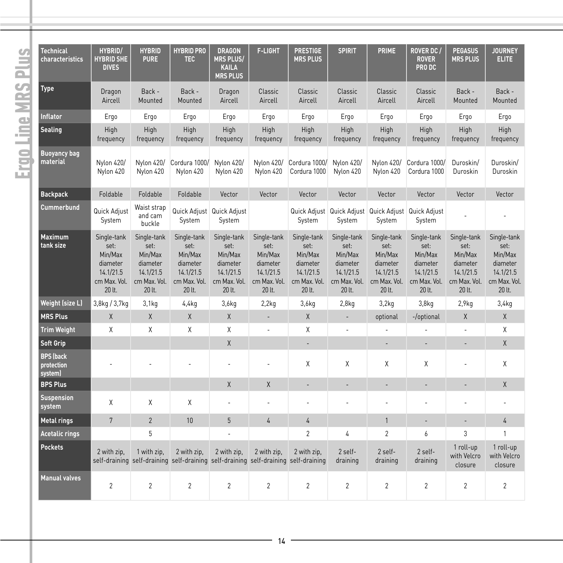# Ergo Line MRS Plus Ergo Line MRS Plus

| <b>Technical</b><br>characteristics        | <b>HYBRID/</b><br><b>HYBRID SHE</b><br><b>DIVES</b>                               | <b>HYBRID</b><br><b>PURE</b>                                                      | <b>HYBRID PRO</b><br><b>TEC</b>                                                                    | <b>DRAGON</b><br><b>MRS PLUS/</b><br><b>KAILA</b><br><b>MRS PLUS</b>              | <b>F-LIGHT</b>                                                                    | <b>PRESTIGE</b><br><b>MRS PLUS</b>                                                | <b>SPIRIT</b>                                                                     | PRIME                                                                             | <b>ROVER DC /</b><br><b>ROVER</b><br>PRO DC                                       | <b>PEGASUS</b><br><b>MRS PLUS</b>                                                 | <b>JOURNEY</b><br><b>ELITE</b>                                                    |
|--------------------------------------------|-----------------------------------------------------------------------------------|-----------------------------------------------------------------------------------|----------------------------------------------------------------------------------------------------|-----------------------------------------------------------------------------------|-----------------------------------------------------------------------------------|-----------------------------------------------------------------------------------|-----------------------------------------------------------------------------------|-----------------------------------------------------------------------------------|-----------------------------------------------------------------------------------|-----------------------------------------------------------------------------------|-----------------------------------------------------------------------------------|
| <b>Type</b>                                | Dragon<br>Aircell                                                                 | Back -<br>Mounted                                                                 | Back -<br>Mounted                                                                                  | Dragon<br>Aircell                                                                 | Classic<br>Aircell                                                                | Classic<br>Aircell                                                                | Classic<br>Aircell                                                                | Classic<br>Aircell                                                                | Classic<br>Aircell                                                                | Back -<br>Mounted                                                                 | Back -<br>Mounted                                                                 |
| <b>Inflator</b>                            | Ergo                                                                              | Ergo                                                                              | Ergo                                                                                               | Ergo                                                                              | Ergo                                                                              | Ergo                                                                              | Ergo                                                                              | Ergo                                                                              | Ergo                                                                              | Ergo                                                                              | Ergo                                                                              |
| <b>Sealing</b>                             | High<br>frequency                                                                 | High<br>frequency                                                                 | High<br>frequency                                                                                  | High<br>frequency                                                                 | High<br>frequency                                                                 | High<br>frequency                                                                 | High<br>frequency                                                                 | High<br>frequency                                                                 | High<br>frequency                                                                 | High<br>frequency                                                                 | High<br>frequency                                                                 |
| <b>Buoyancy bag</b><br>material            | Nylon 420/<br>Nylon 420                                                           | Nylon 420/<br>Nylon 420                                                           | Cordura 1000/<br>Nylon 420                                                                         | Nylon 420/<br>Nylon 420                                                           | Nylon 420/<br>Nylon 420                                                           | Cordura 1000/<br>Cordura 1000                                                     | Nylon 420/<br>Nylon 420                                                           | Nylon 420/<br>Nylon 420                                                           | Cordura 1000/<br>Cordura 1000                                                     | Duroskin/<br>Duroskin                                                             | Duroskin/<br>Duroskin                                                             |
| <b>Backpack</b>                            | Foldable                                                                          | Foldable                                                                          | Foldable                                                                                           | Vector                                                                            | Vector                                                                            | Vector                                                                            | Vector                                                                            | Vector                                                                            | Vector                                                                            | Vector                                                                            | Vector                                                                            |
| Cummerbund                                 | Quick Adjust<br>System                                                            | Waist strap<br>and cam<br>buckle                                                  | System                                                                                             | Quick Adjust Quick Adjust<br>System                                               |                                                                                   | System                                                                            | System                                                                            | Quick Adjust Quick Adjust Quick Adjust Quick Adjust<br>System                     | System                                                                            |                                                                                   |                                                                                   |
| <b>Maximum</b><br>tank size                | Single-tank<br>set:<br>Min/Max<br>diameter<br>14.1/21.5<br>cm Max. Vol.<br>20 lt. | Single-tank<br>set:<br>Min/Max<br>diameter<br>14.1/21.5<br>cm Max. Vol.<br>20 lt. | Single-tank<br>set:<br>Min/Max<br>diameter<br>14.1/21.5<br>cm Max. Vol.<br>20 lt.                  | Single-tank<br>set:<br>Min/Max<br>diameter<br>14.1/21.5<br>cm Max. Vol.<br>20 lt. | Single-tank<br>set:<br>Min/Max<br>diameter<br>14.1/21.5<br>cm Max. Vol.<br>20 lt. | Single-tank<br>set:<br>Min/Max<br>diameter<br>14.1/21.5<br>cm Max. Vol.<br>20 lt. | Single-tank<br>set:<br>Min/Max<br>diameter<br>14.1/21.5<br>cm Max. Vol.<br>20 lt. | Single-tank<br>set:<br>Min/Max<br>diameter<br>14.1/21.5<br>cm Max. Vol.<br>20 lt. | Single-tank<br>set:<br>Min/Max<br>diameter<br>14.1/21.5<br>cm Max. Vol.<br>20 lt. | Single-tank<br>set:<br>Min/Max<br>diameter<br>14.1/21.5<br>cm Max. Vol.<br>20 lt. | Single-tank<br>set:<br>Min/Max<br>diameter<br>14.1/21.5<br>cm Max. Vol.<br>20 lt. |
| <b>Weight (size L)</b>                     | 3,8kg / 3,7kg                                                                     | 3,1kg                                                                             | 4,4kg                                                                                              | 3,6kg                                                                             | 2,2kq                                                                             | 3,6kg                                                                             | 2,8kq                                                                             | 3,2kq                                                                             | 3,8kq                                                                             | 2.9 <sub>kq</sub>                                                                 | 3,4kg                                                                             |
| <b>MRS Plus</b>                            | X                                                                                 | X                                                                                 | $\times$                                                                                           | $\mathsf{X}$                                                                      | ä,                                                                                | X                                                                                 | ÷.                                                                                | optional                                                                          | -/optional                                                                        | $\mathsf{X}$                                                                      | $\mathsf{X}$                                                                      |
| <b>Trim Weight</b>                         | X                                                                                 | X                                                                                 | X                                                                                                  | X                                                                                 |                                                                                   | X                                                                                 | í.                                                                                |                                                                                   |                                                                                   |                                                                                   | X                                                                                 |
| Soft Grip                                  |                                                                                   |                                                                                   |                                                                                                    | X                                                                                 |                                                                                   | ÷.                                                                                |                                                                                   | ÷.                                                                                | ä,                                                                                | ×,                                                                                | $\mathsf{X}$                                                                      |
| <b>BPS (back)</b><br>protection<br>system) |                                                                                   |                                                                                   |                                                                                                    |                                                                                   |                                                                                   | X                                                                                 | χ                                                                                 | χ                                                                                 | χ                                                                                 |                                                                                   | Χ                                                                                 |
| <b>BPS Plus</b>                            |                                                                                   |                                                                                   |                                                                                                    | $\mathsf{X}$                                                                      | $\mathsf{X}$                                                                      | $\sim$                                                                            | ä,                                                                                | ä,                                                                                | ä,                                                                                | ×,                                                                                | X                                                                                 |
| <b>Suspension</b><br>system                | X                                                                                 | X                                                                                 | X                                                                                                  | ä,                                                                                |                                                                                   | ×.                                                                                | ä,                                                                                | ä,                                                                                | ä,                                                                                | ä,                                                                                | ×.                                                                                |
| <b>Metal rings</b>                         | $\overline{7}$                                                                    | $\overline{c}$                                                                    | 10                                                                                                 | 5                                                                                 | $\overline{4}$                                                                    | $\overline{4}$                                                                    |                                                                                   | $\mathbf{1}$                                                                      | ÷.                                                                                | ÷,                                                                                | $\overline{4}$                                                                    |
| <b>Acetalic rings</b>                      |                                                                                   | 5                                                                                 |                                                                                                    |                                                                                   |                                                                                   | $\overline{c}$                                                                    | 4                                                                                 | $\overline{c}$                                                                    | 6                                                                                 | 3                                                                                 | 1                                                                                 |
| <b>Pockets</b>                             | 2 with zip.                                                                       | 1 with zip.                                                                       | 2 with zip.<br>self-draining self-draining self-draining self-draining self-draining self-draining | 2 with zip,                                                                       | 2 with zip.                                                                       | 2 with zip.                                                                       | 2 self-<br>draining                                                               | 2 self-<br>draining                                                               | 2 self-<br>draining                                                               | 1 roll-up<br>with Velcro<br>closure                                               | 1 roll-up<br>with Velcro<br>closure                                               |
| <b>Manual valves</b>                       | $\overline{c}$                                                                    | $\overline{c}$                                                                    | $\overline{2}$                                                                                     | $\overline{2}$                                                                    | $\overline{2}$                                                                    | $\overline{2}$                                                                    | $\overline{c}$                                                                    | $\overline{c}$                                                                    | $\overline{c}$                                                                    | $\overline{2}$                                                                    | $\overline{2}$                                                                    |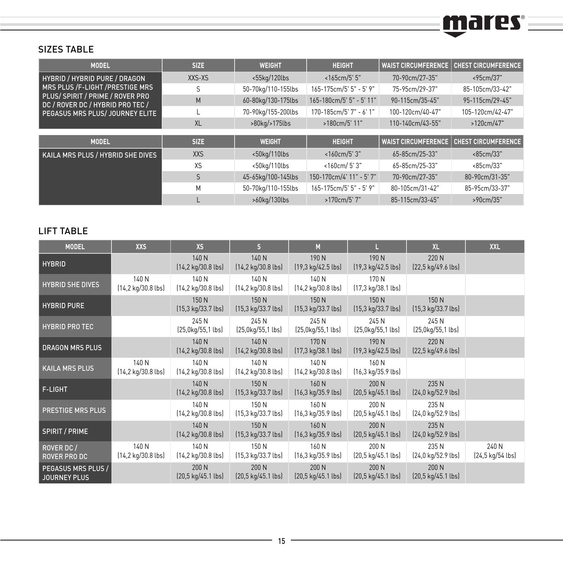# mares =

#### SIZES TABLE

| <b>MODEL</b>                                                                                                                              | <b>SIZE</b>  | <b>WEIGHT</b>       | <b>HEIGHT</b>            | <b>WAIST CIRCUMFERENCE</b> | <b>CHEST CIRCUMFERENCE</b> |
|-------------------------------------------------------------------------------------------------------------------------------------------|--------------|---------------------|--------------------------|----------------------------|----------------------------|
| HYBRID / HYBRID PURE / DRAGON                                                                                                             | XXS-XS       | $<$ 55 $ka/120$ lbs | <165cm/5' 5"             | 70-90cm/27-35"             | <95cm/37"                  |
| MRS PLUS /F-LIGHT /PRESTIGE MRS<br>PLUS/SPIRIT / PRIME / ROVER PRO<br>DC / ROVER DC / HYBRID PRO TEC /<br>PEGASUS MRS PLUS/ JOURNEY ELITE | S            | 50-70kg/110-155lbs  | 165-175cm/5' 5" - 5' 9"  | 75-95cm/29-37"             | 85-105cm/33-42"            |
|                                                                                                                                           | M            | 60-80kg/130-175lbs  | 165-180cm/5' 5" - 5' 11" | 90-115cm/35-45"            | 95-115cm/29-45"            |
|                                                                                                                                           |              | 70-90kg/155-200lbs  | 170-185cm/5' 7" - 6' 1"  | 100-120cm/40-47"           | 105-120cm/42-47"           |
|                                                                                                                                           | <b>XL</b>    | >80kg/>175lbs       | >180cm/5' 11"            |                            | >120cm/47"                 |
|                                                                                                                                           |              |                     |                          |                            |                            |
| <b>MODEL</b>                                                                                                                              | <b>SIZE</b>  | <b>WEIGHT</b>       | <b>HEIGHT</b>            | <b>WAIST CIRCUMFERENCE</b> | <b>CHEST CIRCUMFERENCE</b> |
| KAILA MRS PLUS / HYBRID SHE DIVES                                                                                                         | <b>XXS</b>   | $<$ 50 $ka/110$ lbs | $<$ 160cm/5' 3"          | 65-85cm/25-33"             | <85cm/33"                  |
|                                                                                                                                           | XS           | $<$ 50 $ka/110$ lbs | <160cm/5'3"              | 65-85cm/25-33"             | <85cm/33"                  |
|                                                                                                                                           | $\mathsf{S}$ | 45-65kg/100-145lbs  | 150-170cm/4' 11" - 5' 7" | 70-90cm/27-35"             | 80-90cm/31-35"             |
|                                                                                                                                           | M            | 50-70kg/110-155lbs  | 165-175cm/5' 5" - 5' 9"  | 80-105cm/31-42"            | 85-95cm/33-37"             |
|                                                                                                                                           |              | >60kg/130lbs        | >170cm/5'7"              | 85-115cm/33-45"            | >90cm/35"                  |

#### LIFT TABLE

| <b>MODEL</b>                                     | <b>XXS</b>                                    | <b>XS</b>                                      | S.                                             | M                                              | ц                                              | <b>XL</b>                                     | <b>XXL</b>                |
|--------------------------------------------------|-----------------------------------------------|------------------------------------------------|------------------------------------------------|------------------------------------------------|------------------------------------------------|-----------------------------------------------|---------------------------|
| <b>HYBRID</b>                                    |                                               | 140 N<br>$[14, 2 \text{ kg}/30.8 \text{ lbs}]$ | 140 N<br>$(14.2 \text{ kg}/30.8 \text{ lbs})$  | 190 N<br>$(19.3 \text{ kg}/42.5 \text{ lbs})$  | 190 N<br>$(19, 3 \text{ kg}/42.5 \text{ lbs})$ | 220 N<br>$[22,5 \text{ kg}/49.6 \text{ lbs}]$ |                           |
| <b>HYBRID SHE DIVES</b>                          | 140 N<br>$(14.2 \text{ kg}/30.8 \text{ lbs})$ | 140 N<br>$[14, 2 \text{ kg}/30.8 \text{ lbs}]$ | 140 N<br>$(14.2 \text{ kg}/30.8 \text{ lbs})$  | 140 N<br>$[14, 2 \text{ kg}/30.8 \text{ lbs}]$ | 170 N<br>(17,3 kg/38.1 lbs)                    |                                               |                           |
| <b>HYBRID PURE</b>                               |                                               | 150 N<br>$[15,3 \text{ kg}/33.7 \text{ lbs}]$  | 150 N<br>$(15, 3 \text{ kg}/33.7 \text{ lbs})$ | 150 N<br>$(15, 3 \text{ kg}/33.7 \text{ lbs})$ | 150 N<br>$(15,3 \text{ kg}/33.7 \text{ lbs})$  | 150 N<br>$[15,3 \text{ kg}/33.7 \text{ lbs}]$ |                           |
| <b>HYBRID PRO TEC</b>                            |                                               | 245 N<br>(25,0kg/55,1 lbs)                     | 245 N<br>[25,0kg/55,1 lbs]                     | 245 N<br>$[25,0 \text{kg}/55,1 \text{ lbs}]$   | 245 N<br>(25,0kg/55,1 lbs)                     | 245 N<br>(25,0kg/55,1 lbs)                    |                           |
| <b>DRAGON MRS PLUS</b>                           |                                               | 140 N<br>$[14, 2 \text{ kg}/30.8 \text{ lbs}]$ | 140 N<br>$(14.2 \text{ kg}/30.8 \text{ lbs})$  | 170 N<br>$(17.3 \text{ kg}/38.1 \text{ lbs})$  | 190 N<br>$(19, 3 \text{ kg}/42.5 \text{ lbs})$ | 220 N<br>$[22,5 \text{ kg}/49.6 \text{ lbs}]$ |                           |
| <b>KAILA MRS PLUS</b>                            | 140 N<br>$(14.2 \text{ kg}/30.8 \text{ lbs})$ | 140 N<br>$[14, 2 \text{ kg}/30.8 \text{ lbs}]$ | 140 N<br>$(14.2 \text{ kg}/30.8 \text{ lbs})$  | 140 N<br>$(14.2 \text{ kg}/30.8 \text{ lbs})$  | 160 N<br>[16,3 kg/35.9 lbs]                    |                                               |                           |
| F-LIGHT                                          |                                               | 140 N<br>$[14, 2 \text{ kg}/30.8 \text{ lbs}]$ | 150 N<br>$(15, 3 \text{ kg}/33.7 \text{ lbs})$ | 160 N<br>$(16, 3 \text{ kg}/35.9 \text{ lbs})$ | 200 N<br>(20,5 kg/45.1 lbs)                    | 235 N<br>$[24.0 \text{ kg}/52.9 \text{ lbs}]$ |                           |
| PRESTIGE MRS PLUS                                |                                               | 140 N<br>$[14, 2 \text{ kg}/30.8 \text{ lbs}]$ | 150 N<br>$(15, 3 \text{ kg}/33.7 \text{ lbs})$ | 160 N<br>$(16, 3 \text{ kg}/35.9 \text{ lbs})$ | 200 N<br>(20,5 kg/45.1 lbs)                    | 235 N<br>$[24.0 \text{ kg}/52.9 \text{ lbs}]$ |                           |
| <b>SPIRIT / PRIME</b>                            |                                               | 140 N<br>$[14, 2 \text{ kg}/30.8 \text{ lbs}]$ | 150 N<br>$(15, 3 \text{ kg}/33.7 \text{ lbs})$ | 160 N<br>$(16, 3 \text{ kg}/35.9 \text{ lbs})$ | 200 N<br>(20,5 kg/45.1 lbs)                    | 235 N<br>$[24,0 \text{ kg}/52.9 \text{ lbs}]$ |                           |
| ROVER DC /<br><b>ROVER PRO DC</b>                | 140 N<br>$(14.2 \text{ kg}/30.8 \text{ lbs})$ | 140 N<br>$[14, 2 \text{ kg}/30.8 \text{ lbs}]$ | 150 N<br>$(15.3 \text{ kg}/33.7 \text{ lbs})$  | 160 N<br>$(16, 3 \text{ kg}/35.9 \text{ lbs})$ | 200 N<br>$[20,5 \text{ kg}/45.1 \text{ lbs}]$  | 235 N<br>$[24.0 \text{ kg}/52.9 \text{ lbs}]$ | 240 N<br>[24,5 kg/54 lbs] |
| <b>PEGASUS MRS PLUS /</b><br><b>JOURNEY PLUS</b> |                                               | 200 N<br>$[20,5 \text{ kg}/45.1 \text{ lbs}]$  | 200 N<br>$(20.5 \text{ kg}/45.1 \text{ lbs})$  | 200 N<br>$[20,5 \text{ kg}/45.1 \text{ lbs}]$  | 200 N<br>$(20.5 \text{ kg}/45.1 \text{ lbs})$  | 200 N<br>$[20,5 \text{ kg}/45.1 \text{ lbs}]$ |                           |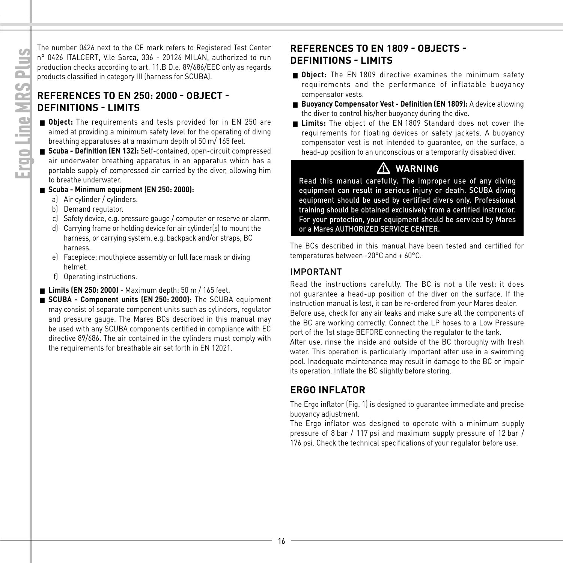The number 0426 next to the CE mark refers to Registered Test Center n° 0426 ITALCERT, V.le Sarca, 336 - 20126 MILAN, authorized to run production checks according to art. 11.B D.e. 89/686/EEC only as regards products classified in category III (harness for SCUBA).

#### **REFERENCES TO EN 250: 2000 - OBJECT - DEFINITIONS - LIMITS**

- **Object:** The requirements and tests provided for in EN 250 are aimed at providing a minimum safety level for the operating of diving breathing apparatuses at a maximum depth of 50 m/ 165 feet.
- **Scuba Definition (EN 132):** Self-contained, open-circuit compressed air underwater breathing apparatus in an apparatus which has a portable supply of compressed air carried by the diver, allowing him to breathe underwater.

#### **■ Scuba - Minimum equipment (EN 250: 2000):**

- a) Air cylinder / cylinders.
- b) Demand regulator.
- c) Safety device, e.g. pressure gauge / computer or reserve or alarm.
- d) Carrying frame or holding device for air cylinder(s) to mount the harness, or carrying system, e.g. backpack and/or straps, BC harness.
- e) Facepiece: mouthpiece assembly or full face mask or diving helmet.
- f) Operating instructions.
- **Limits (EN 250: 2000)** Maximum depth: 50 m / 165 feet.
- **SCUBA Component units (EN 250: 2000):** The SCUBA equipment may consist of separate component units such as cylinders, regulator and pressure gauge. The Mares BCs described in this manual may be used with any SCUBA components certified in compliance with EC directive 89/686. The air contained in the cylinders must comply with the requirements for breathable air set forth in EN 12021.

#### **REFERENCES TO EN 1809 - OBJECTS - DEFINITIONS - LIMITS**

- **Object:** The EN 1809 directive examines the minimum safety requirements and the performance of inflatable buoyancy compensator vests.
- **Buoyancy Compensator Vest Definition (EN 1809):** A device allowing the diver to control his/her buoyancy during the dive.
- **Limits:** The object of the EN 1809 Standard does not cover the requirements for floating devices or safety jackets. A buoyancy compensator vest is not intended to guarantee, on the surface, a head-up position to an unconscious or a temporarily disabled diver.

#### **WARNING**

**A WARNING**<br>Read this manual carefully. The improper use of any diving equipment can result in serious injury or death. SCUBA diving equipment should be used by certified divers only. Professional training should be obtained exclusively from a certified instructor. For your protection, your equipment should be serviced by Mares or a Mares AUTHORIZED SERVICE CENTER.

The BCs described in this manual have been tested and certified for temperatures between -20°C and + 60°C.

#### IMPORTANT

Read the instructions carefully. The BC is not a life vest: it does not guarantee a head-up position of the diver on the surface. If the instruction manual is lost, it can be re-ordered from your Mares dealer. Before use, check for any air leaks and make sure all the components of the BC are working correctly. Connect the LP hoses to a Low Pressure port of the 1st stage BEFORE connecting the regulator to the tank.

After use, rinse the inside and outside of the BC thoroughly with fresh water. This operation is particularly important after use in a swimming pool. Inadequate maintenance may result in damage to the BC or impair its operation. Inflate the BC slightly before storing.

#### **ERGO INFLATOR**

The Ergo inflator (Fig. 1) is designed to guarantee immediate and precise buoyancy adjustment.

The Ergo inflator was designed to operate with a minimum supply pressure of 8 bar / 117 psi and maximum supply pressure of 12 bar / 176 psi. Check the technical specifications of your regulator before use.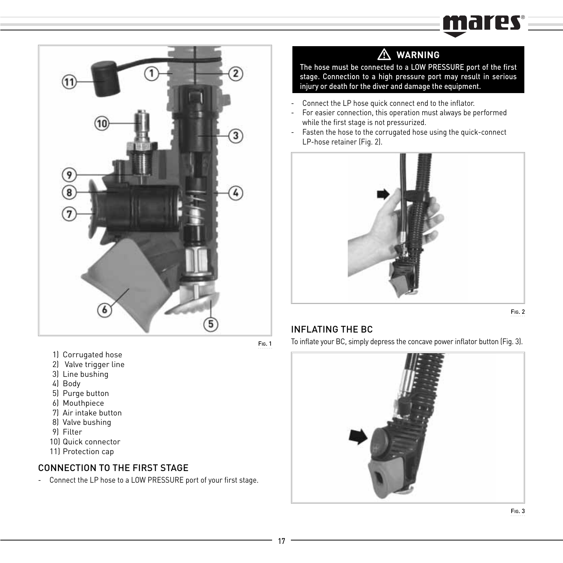# mares



- 1) Corrugated hose
- 2) Valve trigger line
- 3) Line bushing
- 4) Body
- 5) Purge button
- 6) Mouthpiece
- 7) Air intake button
- 8) Valve bushing
- 9) Filter
- 10) Quick connector
- 11) Protection cap

#### CONNECTION TO THE FIRST STAGE

- Connect the LP hose to a LOW PRESSURE port of your first stage.

# - **WARNING**

The hose must be connected to a LOW PRESSURE port of the first stage. Connection to a high pressure port may result in serious injury or death for the diver and damage the equipment.

- Connect the LP hose quick connect end to the inflator.
- For easier connection, this operation must always be performed while the first stage is not pressurized.
- Fasten the hose to the corrugated hose using the quick-connect LP-hose retainer (Fig. 2).



FIG. 2

#### INFLATING THE BC

To inflate your BC, simply depress the concave power inflator button (Fig. 3).

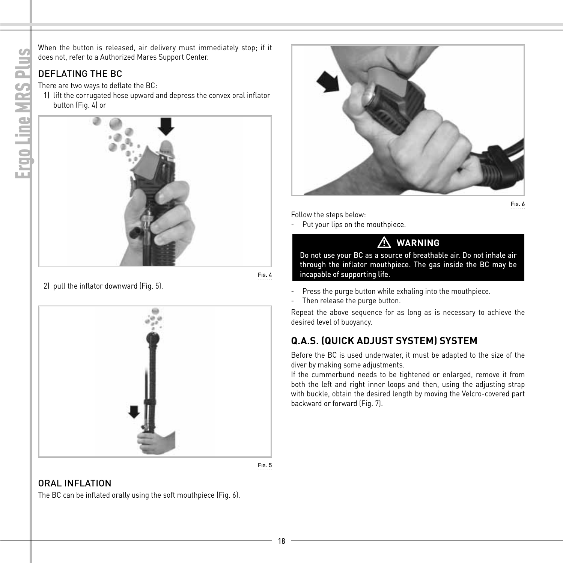When the button is released, air delivery must immediately stop; if it does not, refer to a Authorized Mares Support Center.

#### DEFLATING THE BC

There are two ways to deflate the BC:

 1) lift the corrugated hose upward and depress the convex oral inflator button (Fig. 4) or



FIG. 4

2) pull the inflator downward (Fig. 5).



FIG. 5

#### ORAL INFLATION

The BC can be inflated orally using the soft mouthpiece (Fig. 6).



FIG. 6

Follow the steps below:

Put your lips on the mouthpiece.

#### л **WARNING**

Do not use your BC as a source of breathable air. Do not inhale air through the inflator mouthpiece. The gas inside the BC may be incapable of supporting life.

- Press the purge button while exhaling into the mouthpiece.
- Then release the purge button.

Repeat the above sequence for as long as is necessary to achieve the desired level of buoyancy.

#### **Q.A.S. (QUICK ADJUST SYSTEM) SYSTEM**

Before the BC is used underwater, it must be adapted to the size of the diver by making some adjustments.

If the cummerbund needs to be tightened or enlarged, remove it from both the left and right inner loops and then, using the adjusting strap with buckle, obtain the desired length by moving the Velcro-covered part backward or forward (Fig. 7).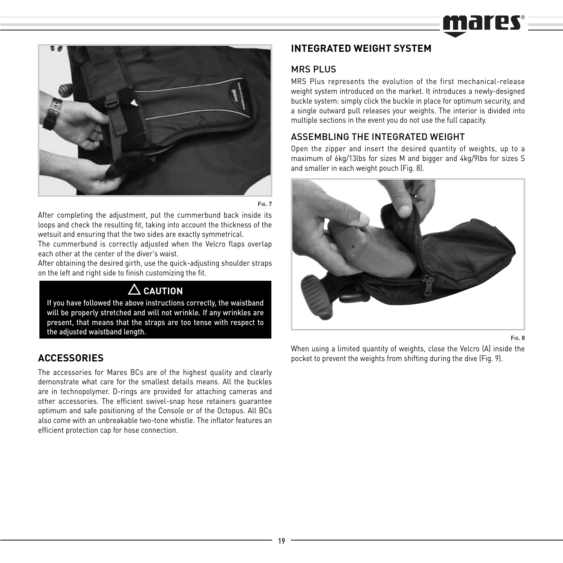

FIG. 7

After completing the adjustment, put the cummerbund back inside its loops and check the resulting fit, taking into account the thickness of the wetsuit and ensuring that the two sides are exactly symmetrical.

The cummerbund is correctly adjusted when the Velcro flaps overlap each other at the center of the diver's waist.

After obtaining the desired girth, use the quick-adjusting shoulder straps on the left and right side to finish customizing the fit.

# **CAUTION**

If you have followed the above instructions correctly, the waistband will be properly stretched and will not wrinkle. If any wrinkles are present, that means that the straps are too tense with respect to the adjusted waistband length.

#### **ACCESSORIES**

The accessories for Mares BCs are of the highest quality and clearly demonstrate what care for the smallest details means. All the buckles are in technopolymer. D-rings are provided for attaching cameras and other accessories. The efficient swivel-snap hose retainers guarantee optimum and safe positioning of the Console or of the Octopus. All BCs also come with an unbreakable two-tone whistle. The inflator features an efficient protection cap for hose connection.

#### **INTEGRATED WEIGHT SYSTEM**

#### MDC DLUC

MRS Plus represents the evolution of the first mechanical-release weight system introduced on the market. It introduces a newly-designed buckle system: simply click the buckle in place for optimum security, and a single outward pull releases your weights. The interior is divided into multiple sections in the event you do not use the full capacity.

#### ASSEMBLING THE INTEGRATED WEIGHT

Open the zipper and insert the desired quantity of weights, up to a maximum of 6kg/13lbs for sizes M and bigger and 4kg/9lbs for sizes S and smaller in each weight pouch (Fig. 8).



FIG. 8

When using a limited quantity of weights, close the Velcro (A) inside the pocket to prevent the weights from shifting during the dive (Fig. 9).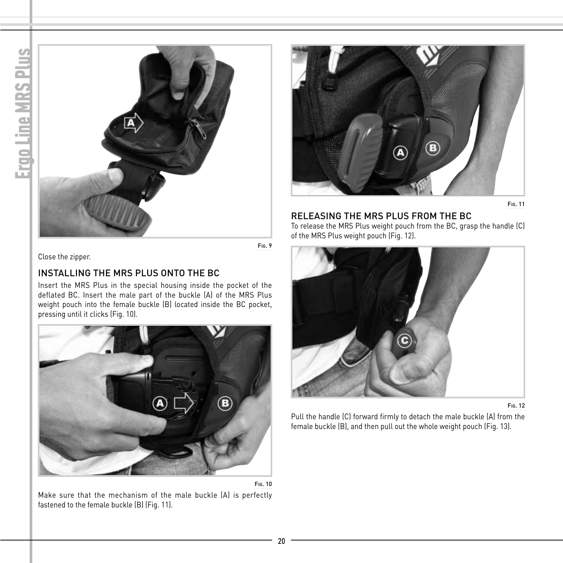



FIG. 11

#### RELEASING THE MRS PLUS FROM THE BC

To release the MRS Plus weight pouch from the BC, grasp the handle (C) of the MRS Plus weight pouch (Fig. 12).



FIG. 12

Pull the handle (C) forward firmly to detach the male buckle (A) from the female buckle (B), and then pull out the whole weight pouch (Fig. 13).

Close the zipper.

#### INSTALLING THE MRS PLUS ONTO THE BC

Insert the MRS Plus in the special housing inside the pocket of the deflated BC. Insert the male part of the buckle (A) of the MRS Plus weight pouch into the female buckle (B) located inside the BC pocket, pressing until it clicks (Fig. 10).



Make sure that the mechanism of the male buckle (A) is perfectly fastened to the female buckle (B) (Fig. 11).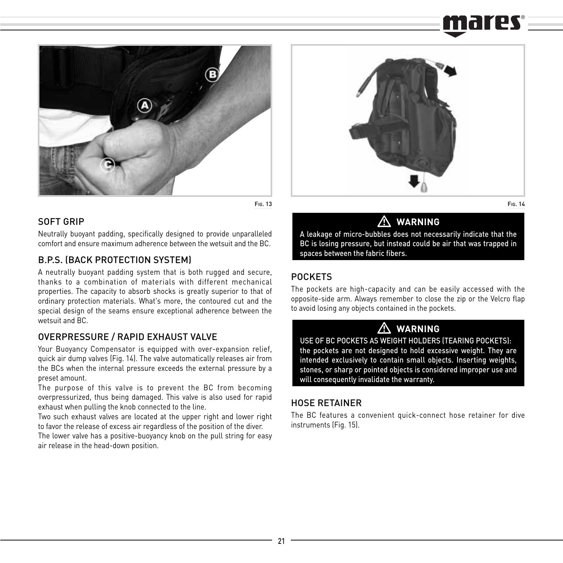

FIG. 13

#### SOFT GRIP

Neutrally buoyant padding, specifically designed to provide unparalleled comfort and ensure maximum adherence between the wetsuit and the BC.

#### B.P.S. (BACK PROTECTION SYSTEM)

A neutrally buoyant padding system that is both rugged and secure, thanks to a combination of materials with different mechanical properties. The capacity to absorb shocks is greatly superior to that of ordinary protection materials. What's more, the contoured cut and the special design of the seams ensure exceptional adherence between the wetsuit and BC.

#### OVERPRESSURE / RAPID EXHAUST VALVE

Your Buoyancy Compensator is equipped with over-expansion relief, quick air dump valves (Fig. 14). The valve automatically releases air from the BCs when the internal pressure exceeds the external pressure by a preset amount.

The purpose of this valve is to prevent the BC from becoming overpressurized, thus being damaged. This valve is also used for rapid exhaust when pulling the knob connected to the line.

Two such exhaust valves are located at the upper right and lower right to favor the release of excess air regardless of the position of the diver.

The lower valve has a positive-buoyancy knob on the pull string for easy air release in the head-down position.



FIG. 14

### **WARNING**

 $\bigwedge_{\text{A}}$  WARNING<br>A leakage of micro-bubbles does not necessarily indicate that the BC is losing pressure, but instead could be air that was trapped in spaces between the fabric fibers.

#### POCKETS

The pockets are high-capacity and can be easily accessed with the opposite-side arm. Always remember to close the zip or the Velcro flap to avoid losing any objects contained in the pockets.

# - **WARNING**

USE OF BC POCKETS AS WEIGHT HOLDERS (TEARING POCKETS): the pockets are not designed to hold excessive weight. They are intended exclusively to contain small objects. Inserting weights, stones, or sharp or pointed objects is considered improper use and will consequently invalidate the warranty.

#### HOSE RETAINER

The BC features a convenient quick-connect hose retainer for dive instruments (Fig. 15).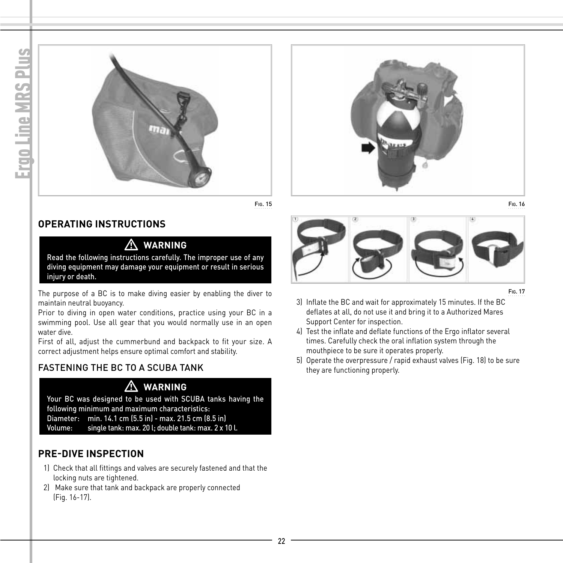





#### **OPERATING INSTRUCTIONS**

#### **WARNING**

**A WARNING**<br>Read the following instructions carefully. The improper use of any diving equipment may damage your equipment or result in serious injury or death.

The purpose of a BC is to make diving easier by enabling the diver to maintain neutral buoyancy.

Prior to diving in open water conditions, practice using your BC in a swimming pool. Use all gear that you would normally use in an open water dive.

First of all, adjust the cummerbund and backpack to fit your size. A correct adjustment helps ensure optimal comfort and stability.

#### FASTENING THE BC TO A SCUBA TANK

# - **WARNING**

Your BC was designed to be used with SCUBA tanks having the following minimum and maximum characteristics: Diameter: min. 14.1 cm (5.5 in) - max. 21.5 cm (8.5 in)

single tank: max. 20 l; double tank: max. 2 x 10 l.

#### **PRE-DIVE INSPECTION**

- 1) Check that all fittings and valves are securely fastened and that the locking nuts are tightened.
- 2) Make sure that tank and backpack are properly connected (Fig. 16-17).



FIG. 17

- 3) Inflate the BC and wait for approximately 15 minutes. If the BC deflates at all, do not use it and bring it to a Authorized Mares Support Center for inspection.
- 4) Test the inflate and deflate functions of the Ergo inflator several times. Carefully check the oral inflation system through the mouthpiece to be sure it operates properly.
- 5) Operate the overpressure / rapid exhaust valves (Fig. 18) to be sure they are functioning properly.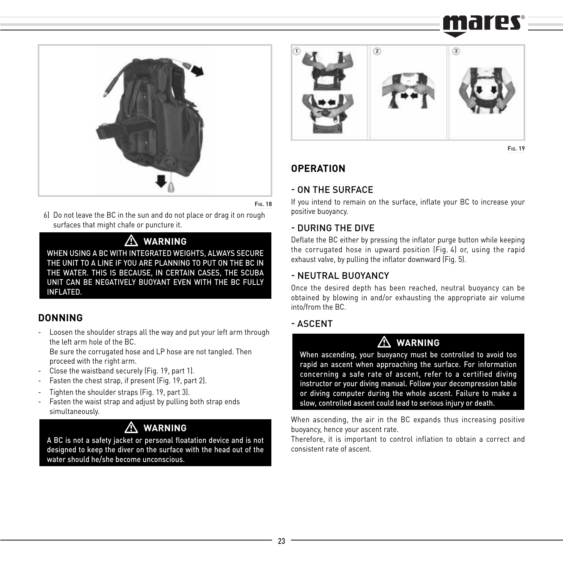

FIG. 18

 6) Do not leave the BC in the sun and do not place or drag it on rough surfaces that might chafe or puncture it.

# - **WARNING**

WHEN USING A BC WITH INTEGRATED WEIGHTS, ALWAYS SECURE THE UNIT TO A LINE IF YOU ARE PLANNING TO PUT ON THE BC IN THE WATER. THIS IS BECAUSE, IN CERTAIN CASES, THE SCUBA UNIT CAN BE NEGATIVELY BUOYANT EVEN WITH THE BC FULLY INFLATED.

#### **DONNING**

- Loosen the shoulder straps all the way and put your left arm through the left arm hole of the BC.

 Be sure the corrugated hose and LP hose are not tangled. Then proceed with the right arm.

- Close the waistband securely (Fig. 19, part 1).
- Fasten the chest strap, if present (Fig. 19, part 2).
- Tighten the shoulder straps (Fig. 19, part 3).
- Fasten the waist strap and adjust by pulling both strap ends simultaneously.

# - **WARNING**

A BC is not a safety jacket or personal floatation device and is not designed to keep the diver on the surface with the head out of the water should he/she become unconscious.



FIG. 19

#### **OPERATION**

#### - ON THE SURFACE

If you intend to remain on the surface, inflate your BC to increase your positive buoyancy.

#### - DURING THE DIVE

Deflate the BC either by pressing the inflator purge button while keeping the corrugated hose in upward position (Fig. 4) or, using the rapid exhaust valve, by pulling the inflator downward (Fig. 5).

#### - NEUTRAL BUOYANCY

Once the desired depth has been reached, neutral buoyancy can be obtained by blowing in and/or exhausting the appropriate air volume into/from the BC.

#### - ASCENT

# - **WARNING**

When ascending, your buoyancy must be controlled to avoid too rapid an ascent when approaching the surface. For information concerning a safe rate of ascent, refer to a certified diving instructor or your diving manual. Follow your decompression table or diving computer during the whole ascent. Failure to make a slow, controlled ascent could lead to serious injury or death.

When ascending, the air in the BC expands thus increasing positive buoyancy, hence your ascent rate.

Therefore, it is important to control inflation to obtain a correct and consistent rate of ascent.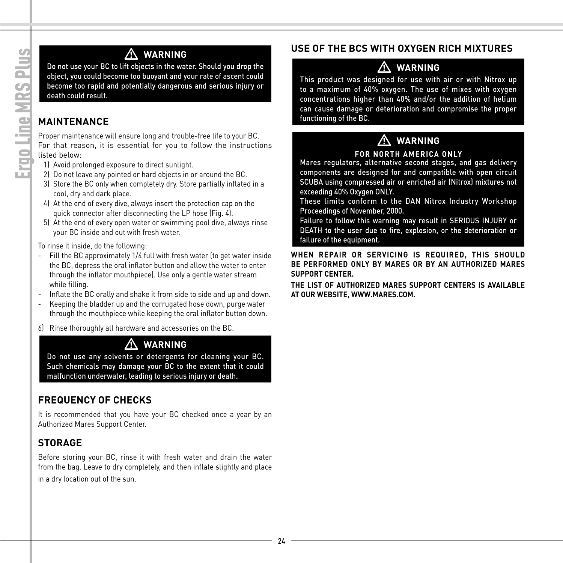# - **WARNING**

Do not use your BC to lift objects in the water. Should you drop the object, you could become too buoyant and your rate of ascent could become too rapid and potentially dangerous and serious injury or death could result.

#### **MAINTENANCE**

Proper maintenance will ensure long and trouble-free life to your BC. For that reason, it is essential for you to follow the instructions listed below:

- 1) Avoid prolonged exposure to direct sunlight.
- 2) Do not leave any pointed or hard objects in or around the BC.
- 3) Store the BC only when completely dry. Store partially inflated in a cool, dry and dark place.
- 4) At the end of every dive, always insert the protection cap on the quick connector after disconnecting the LP hose (Fig. 4).
- 5) At the end of every open water or swimming pool dive, always rinse your BC inside and out with fresh water.

#### To rinse it inside, do the following:

- Fill the BC approximately 1/4 full with fresh water (to get water inside the BC, depress the oral inflator button and allow the water to enter through the inflator mouthpiece). Use only a gentle water stream while filling.
- Inflate the BC orally and shake it from side to side and up and down.
- Keeping the bladder up and the corrugated hose down, purge water through the mouthpiece while keeping the oral inflator button down.
- 6) Rinse thoroughly all hardware and accessories on the BC.

# - **WARNING**

Do not use any solvents or detergents for cleaning your BC. Such chemicals may damage your BC to the extent that it could malfunction underwater, leading to serious injury or death.

#### **FREQUENCY OF CHECKS**

It is recommended that you have your BC checked once a year by an Authorized Mares Support Center.

#### **STORAGE**

Before storing your BC, rinse it with fresh water and drain the water from the bag. Leave to dry completely, and then inflate slightly and place in a dry location out of the sun.

#### **USE OF THE BCS WITH OXYGEN RICH MIXTURES**

## - **WARNING**

This product was designed for use with air or with Nitrox up to a maximum of 40% oxygen. The use of mixes with oxygen concentrations higher than 40% and/or the addition of helium can cause damage or deterioration and compromise the proper functioning of the BC.

#### $\mathbb{Z}$ **WARNING**

#### **FOR NORTH AMERICA ONLY**

Mares regulators, alternative second stages, and gas delivery components are designed for and compatible with open circuit SCUBA using compressed air or enriched air (Nitrox) mixtures not exceeding 40% Oxygen ONLY.

These limits conform to the DAN Nitrox Industry Workshop Proceedings of November, 2000.

Failure to follow this warning may result in SERIOUS INJURY or DEATH to the user due to fire, explosion, or the deterioration or failure of the equipment.

**WHEN REPAIR OR SERVICING IS REQUIRED, THIS SHOULD BE PERFORMED ONLY BY MARES OR BY AN AUTHORIZED MARES SUPPORT CENTER.**

**THE LIST OF AUTHORIZED MARES SUPPORT CENTERS IS AVAILABLE AT OUR WEBSITE, WWW.MARES.COM.**